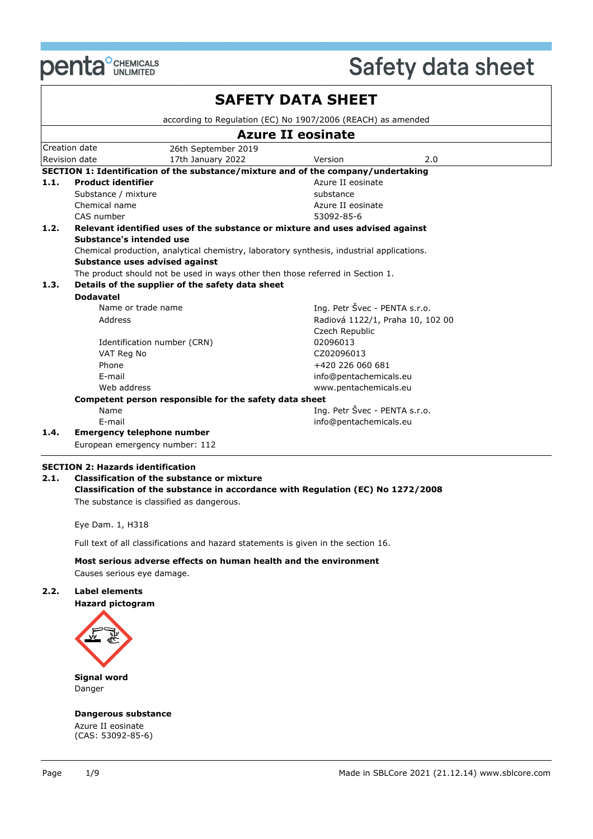

|      |                                                        |                                                                                           | <b>SAFETY DATA SHEET</b>      |                                  |  |
|------|--------------------------------------------------------|-------------------------------------------------------------------------------------------|-------------------------------|----------------------------------|--|
|      |                                                        | according to Regulation (EC) No 1907/2006 (REACH) as amended                              |                               |                                  |  |
|      |                                                        |                                                                                           | <b>Azure II eosinate</b>      |                                  |  |
|      | Creation date                                          | 26th September 2019                                                                       |                               |                                  |  |
|      | Revision date                                          | 17th January 2022                                                                         | Version                       | 2.0                              |  |
|      |                                                        | SECTION 1: Identification of the substance/mixture and of the company/undertaking         |                               |                                  |  |
| 1.1. | <b>Product identifier</b>                              |                                                                                           | Azure II eosinate             |                                  |  |
|      | Substance / mixture                                    |                                                                                           | substance                     |                                  |  |
|      | Chemical name                                          |                                                                                           | Azure II eosinate             |                                  |  |
|      | CAS number                                             |                                                                                           | 53092-85-6                    |                                  |  |
| 1.2. |                                                        | Relevant identified uses of the substance or mixture and uses advised against             |                               |                                  |  |
|      | Substance's intended use                               |                                                                                           |                               |                                  |  |
|      |                                                        | Chemical production, analytical chemistry, laboratory synthesis, industrial applications. |                               |                                  |  |
|      |                                                        | Substance uses advised against                                                            |                               |                                  |  |
|      |                                                        | The product should not be used in ways other then those referred in Section 1.            |                               |                                  |  |
| 1.3. |                                                        | Details of the supplier of the safety data sheet                                          |                               |                                  |  |
|      | <b>Dodavatel</b>                                       |                                                                                           |                               |                                  |  |
|      |                                                        | Name or trade name                                                                        | Ing. Petr Švec - PENTA s.r.o. |                                  |  |
|      | Address                                                |                                                                                           |                               | Radiová 1122/1, Praha 10, 102 00 |  |
|      |                                                        |                                                                                           | Czech Republic                |                                  |  |
|      |                                                        | Identification number (CRN)                                                               | 02096013                      |                                  |  |
|      | VAT Reg No                                             |                                                                                           | CZ02096013                    |                                  |  |
|      | Phone                                                  |                                                                                           | +420 226 060 681              |                                  |  |
|      | E-mail                                                 |                                                                                           | info@pentachemicals.eu        |                                  |  |
|      | Web address                                            |                                                                                           | www.pentachemicals.eu         |                                  |  |
|      | Competent person responsible for the safety data sheet |                                                                                           |                               |                                  |  |
|      | Name                                                   |                                                                                           | Ing. Petr Švec - PENTA s.r.o. |                                  |  |
|      | E-mail                                                 |                                                                                           | info@pentachemicals.eu        |                                  |  |
| 1.4. |                                                        | <b>Emergency telephone number</b>                                                         |                               |                                  |  |
|      |                                                        | European emergency number: 112                                                            |                               |                                  |  |

### **SECTION 2: Hazards identification**

**2.1. Classification of the substance or mixture Classification of the substance in accordance with Regulation (EC) No 1272/2008** The substance is classified as dangerous.

Eye Dam. 1, H318

Full text of all classifications and hazard statements is given in the section 16.

#### **Most serious adverse effects on human health and the environment** Causes serious eye damage.

#### **2.2. Label elements**

**Hazard pictogram**



**Signal word** Danger

#### **Dangerous substance**

Azure II eosinate (CAS: 53092-85-6)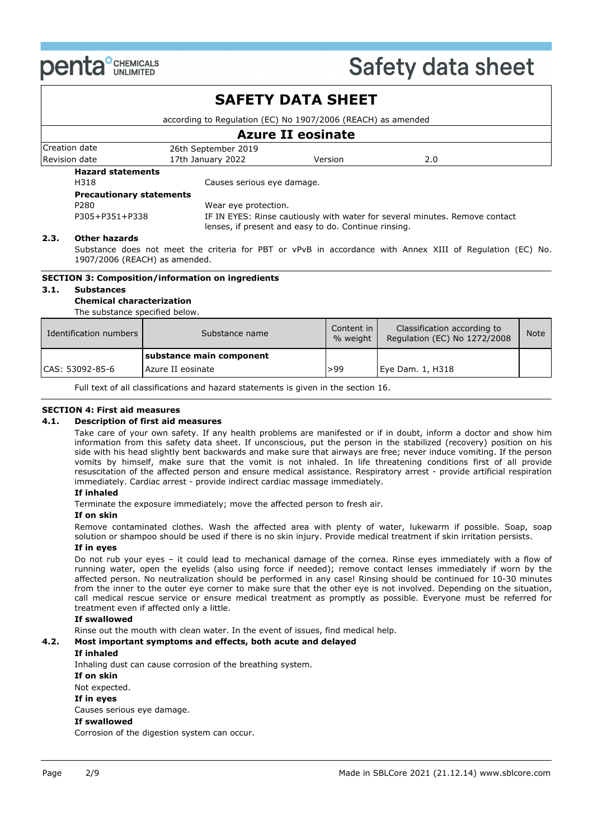

## Creation date 26th September 2019 Revision date **17th January 2022** Version 2.0 **SAFETY DATA SHEET** according to Regulation (EC) No 1907/2006 (REACH) as amended **Azure II eosinate Hazard statements** H318 Causes serious eye damage. **Precautionary statements** P280 Wear eye protection. P305+P351+P338 IF IN EYES: Rinse cautiously with water for several minutes. Remove contact lenses, if present and easy to do. Continue rinsing.

#### **2.3. Other hazards**

Substance does not meet the criteria for PBT or vPvB in accordance with Annex XIII of Regulation (EC) No. 1907/2006 (REACH) as amended.

#### **SECTION 3: Composition/information on ingredients**

#### **3.1. Substances**

**Chemical characterization**

The substance specified below.

| Identification numbers | Substance name           | Content in<br>% weight | Classification according to<br>Regulation (EC) No 1272/2008 | <b>Note</b> |
|------------------------|--------------------------|------------------------|-------------------------------------------------------------|-------------|
|                        | substance main component |                        |                                                             |             |
| CAS: 53092-85-6        | Azure II eosinate        | >99                    | Eye Dam. 1, H318                                            |             |

Full text of all classifications and hazard statements is given in the section 16.

#### **SECTION 4: First aid measures**

#### **4.1. Description of first aid measures**

Take care of your own safety. If any health problems are manifested or if in doubt, inform a doctor and show him information from this safety data sheet. If unconscious, put the person in the stabilized (recovery) position on his side with his head slightly bent backwards and make sure that airways are free; never induce vomiting. If the person vomits by himself, make sure that the vomit is not inhaled. In life threatening conditions first of all provide resuscitation of the affected person and ensure medical assistance. Respiratory arrest - provide artificial respiration immediately. Cardiac arrest - provide indirect cardiac massage immediately.

#### **If inhaled**

Terminate the exposure immediately; move the affected person to fresh air.

#### **If on skin**

Remove contaminated clothes. Wash the affected area with plenty of water, lukewarm if possible. Soap, soap solution or shampoo should be used if there is no skin injury. Provide medical treatment if skin irritation persists.

#### **If in eyes**

Do not rub your eyes – it could lead to mechanical damage of the cornea. Rinse eyes immediately with a flow of running water, open the eyelids (also using force if needed); remove contact lenses immediately if worn by the affected person. No neutralization should be performed in any case! Rinsing should be continued for 10-30 minutes from the inner to the outer eye corner to make sure that the other eye is not involved. Depending on the situation, call medical rescue service or ensure medical treatment as promptly as possible. Everyone must be referred for treatment even if affected only a little.

#### **If swallowed**

Rinse out the mouth with clean water. In the event of issues, find medical help.

#### **4.2. Most important symptoms and effects, both acute and delayed**

#### **If inhaled**

Inhaling dust can cause corrosion of the breathing system.

**If on skin**

Not expected.

#### **If in eyes**

Causes serious eye damage.

#### **If swallowed**

Corrosion of the digestion system can occur.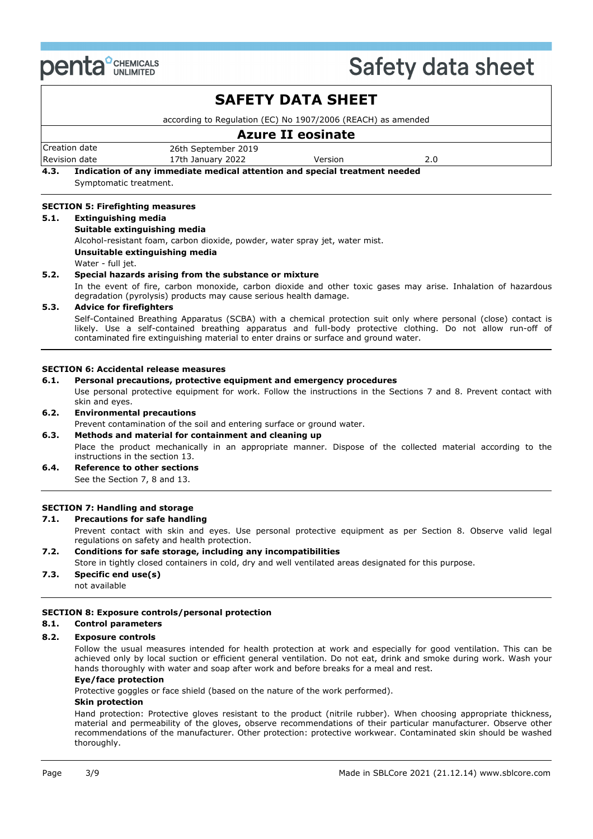

|      |                                                                                                                                                                                                                                                                                                                                                            |                                                                                                                            | <b>SAFETY DATA SHEET</b> |                                                                                                                   |  |
|------|------------------------------------------------------------------------------------------------------------------------------------------------------------------------------------------------------------------------------------------------------------------------------------------------------------------------------------------------------------|----------------------------------------------------------------------------------------------------------------------------|--------------------------|-------------------------------------------------------------------------------------------------------------------|--|
|      |                                                                                                                                                                                                                                                                                                                                                            | according to Regulation (EC) No 1907/2006 (REACH) as amended                                                               |                          |                                                                                                                   |  |
|      |                                                                                                                                                                                                                                                                                                                                                            |                                                                                                                            | <b>Azure II eosinate</b> |                                                                                                                   |  |
|      | Creation date<br>Revision date                                                                                                                                                                                                                                                                                                                             | 26th September 2019<br>17th January 2022                                                                                   | Version                  | 2.0                                                                                                               |  |
| 4.3. | Symptomatic treatment.                                                                                                                                                                                                                                                                                                                                     | Indication of any immediate medical attention and special treatment needed                                                 |                          |                                                                                                                   |  |
|      | <b>SECTION 5: Firefighting measures</b>                                                                                                                                                                                                                                                                                                                    |                                                                                                                            |                          |                                                                                                                   |  |
| 5.1. | <b>Extinguishing media</b><br>Suitable extinguishing media<br>Water - full jet.                                                                                                                                                                                                                                                                            | Alcohol-resistant foam, carbon dioxide, powder, water spray jet, water mist.<br>Unsuitable extinguishing media             |                          |                                                                                                                   |  |
| 5.2. |                                                                                                                                                                                                                                                                                                                                                            | Special hazards arising from the substance or mixture<br>degradation (pyrolysis) products may cause serious health damage. |                          | In the event of fire, carbon monoxide, carbon dioxide and other toxic gases may arise. Inhalation of hazardous    |  |
| 5.3. | <b>Advice for firefighters</b><br>Self-Contained Breathing Apparatus (SCBA) with a chemical protection suit only where personal (close) contact is<br>likely. Use a self-contained breathing apparatus and full-body protective clothing. Do not allow run-off of<br>contaminated fire extinguishing material to enter drains or surface and ground water. |                                                                                                                            |                          |                                                                                                                   |  |
|      |                                                                                                                                                                                                                                                                                                                                                            | <b>SECTION 6: Accidental release measures</b>                                                                              |                          |                                                                                                                   |  |
| 6.1. |                                                                                                                                                                                                                                                                                                                                                            | Personal precautions, protective equipment and emergency procedures                                                        |                          |                                                                                                                   |  |
|      | skin and eyes.                                                                                                                                                                                                                                                                                                                                             |                                                                                                                            |                          | Use personal protective equipment for work. Follow the instructions in the Sections 7 and 8. Prevent contact with |  |
| 6.2. | <b>Environmental precautions</b>                                                                                                                                                                                                                                                                                                                           |                                                                                                                            |                          |                                                                                                                   |  |

Prevent contamination of the soil and entering surface or ground water.

**6.3. Methods and material for containment and cleaning up** Place the product mechanically in an appropriate manner. Dispose of the collected material according to the instructions in the section 13. **6.4. Reference to other sections**

See the Section 7, 8 and 13.

### **SECTION 7: Handling and storage**

#### **7.1. Precautions for safe handling**

Prevent contact with skin and eyes. Use personal protective equipment as per Section 8. Observe valid legal regulations on safety and health protection.

#### **7.2. Conditions for safe storage, including any incompatibilities**

Store in tightly closed containers in cold, dry and well ventilated areas designated for this purpose.

**7.3. Specific end use(s)** not available

#### **SECTION 8: Exposure controls/personal protection**

#### **8.1. Control parameters**

#### **8.2. Exposure controls**

Follow the usual measures intended for health protection at work and especially for good ventilation. This can be achieved only by local suction or efficient general ventilation. Do not eat, drink and smoke during work. Wash your hands thoroughly with water and soap after work and before breaks for a meal and rest.

#### **Eye/face protection**

Protective goggles or face shield (based on the nature of the work performed).

### **Skin protection**

Hand protection: Protective gloves resistant to the product (nitrile rubber). When choosing appropriate thickness, material and permeability of the gloves, observe recommendations of their particular manufacturer. Observe other recommendations of the manufacturer. Other protection: protective workwear. Contaminated skin should be washed thoroughly.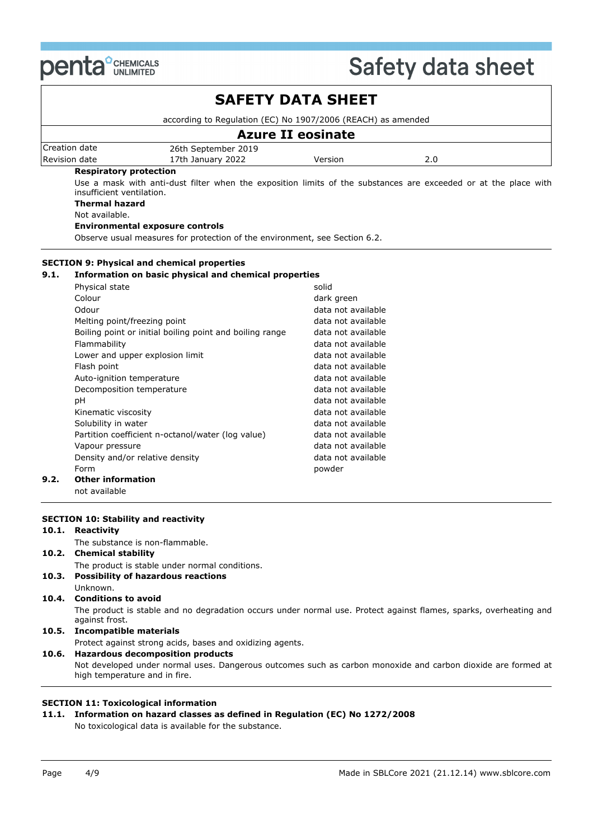

|       |                                                                                                                                                                                                                                                       |                                                                                                                      | <b>SAFETY DATA SHEET</b>                 |                                                                                                                   |
|-------|-------------------------------------------------------------------------------------------------------------------------------------------------------------------------------------------------------------------------------------------------------|----------------------------------------------------------------------------------------------------------------------|------------------------------------------|-------------------------------------------------------------------------------------------------------------------|
|       |                                                                                                                                                                                                                                                       | according to Regulation (EC) No 1907/2006 (REACH) as amended                                                         |                                          |                                                                                                                   |
|       |                                                                                                                                                                                                                                                       |                                                                                                                      | <b>Azure II eosinate</b>                 |                                                                                                                   |
|       | Creation date                                                                                                                                                                                                                                         | 26th September 2019                                                                                                  |                                          |                                                                                                                   |
|       | Revision date                                                                                                                                                                                                                                         | 17th January 2022                                                                                                    | Version                                  | 2.0                                                                                                               |
|       | <b>Respiratory protection</b><br>insufficient ventilation.<br><b>Thermal hazard</b><br>Not available.                                                                                                                                                 | <b>Environmental exposure controls</b><br>Observe usual measures for protection of the environment, see Section 6.2. |                                          | Use a mask with anti-dust filter when the exposition limits of the substances are exceeded or at the place with   |
|       |                                                                                                                                                                                                                                                       | <b>SECTION 9: Physical and chemical properties</b>                                                                   |                                          |                                                                                                                   |
| 9.1.  |                                                                                                                                                                                                                                                       | Information on basic physical and chemical properties                                                                |                                          |                                                                                                                   |
|       | Physical state                                                                                                                                                                                                                                        |                                                                                                                      | solid                                    |                                                                                                                   |
|       | Colour                                                                                                                                                                                                                                                |                                                                                                                      | dark green                               |                                                                                                                   |
|       | Odour                                                                                                                                                                                                                                                 |                                                                                                                      | data not available                       |                                                                                                                   |
|       | Melting point/freezing point                                                                                                                                                                                                                          |                                                                                                                      | data not available                       |                                                                                                                   |
|       |                                                                                                                                                                                                                                                       | Boiling point or initial boiling point and boiling range                                                             | data not available                       |                                                                                                                   |
|       | Flammability                                                                                                                                                                                                                                          |                                                                                                                      | data not available                       |                                                                                                                   |
|       | Lower and upper explosion limit                                                                                                                                                                                                                       |                                                                                                                      | data not available                       |                                                                                                                   |
|       | Flash point                                                                                                                                                                                                                                           |                                                                                                                      | data not available                       |                                                                                                                   |
|       | Auto-ignition temperature                                                                                                                                                                                                                             |                                                                                                                      | data not available                       |                                                                                                                   |
|       | Decomposition temperature                                                                                                                                                                                                                             |                                                                                                                      | data not available                       |                                                                                                                   |
|       | pH                                                                                                                                                                                                                                                    |                                                                                                                      | data not available                       |                                                                                                                   |
|       | Kinematic viscosity                                                                                                                                                                                                                                   |                                                                                                                      | data not available                       |                                                                                                                   |
|       | Solubility in water                                                                                                                                                                                                                                   |                                                                                                                      | data not available                       |                                                                                                                   |
|       |                                                                                                                                                                                                                                                       | Partition coefficient n-octanol/water (log value)                                                                    | data not available<br>data not available |                                                                                                                   |
|       | Vapour pressure<br>Density and/or relative density                                                                                                                                                                                                    |                                                                                                                      | data not available                       |                                                                                                                   |
|       | Form                                                                                                                                                                                                                                                  |                                                                                                                      | powder                                   |                                                                                                                   |
| 9.2.  | <b>Other information</b>                                                                                                                                                                                                                              |                                                                                                                      |                                          |                                                                                                                   |
|       | not available                                                                                                                                                                                                                                         |                                                                                                                      |                                          |                                                                                                                   |
|       | <b>SECTION 10: Stability and reactivity</b><br>10.1. Reactivity                                                                                                                                                                                       |                                                                                                                      |                                          |                                                                                                                   |
|       |                                                                                                                                                                                                                                                       | The substance is non-flammable.                                                                                      |                                          |                                                                                                                   |
|       | 10.2. Chemical stability                                                                                                                                                                                                                              |                                                                                                                      |                                          |                                                                                                                   |
| 10.3. | Unknown.                                                                                                                                                                                                                                              | The product is stable under normal conditions.<br><b>Possibility of hazardous reactions</b>                          |                                          |                                                                                                                   |
| 10.4. | <b>Conditions to avoid</b><br>against frost.                                                                                                                                                                                                          |                                                                                                                      |                                          | The product is stable and no degradation occurs under normal use. Protect against flames, sparks, overheating and |
| 10.5. | <b>Incompatible materials</b>                                                                                                                                                                                                                         |                                                                                                                      |                                          |                                                                                                                   |
|       |                                                                                                                                                                                                                                                       |                                                                                                                      |                                          |                                                                                                                   |
| 10.6. | Protect against strong acids, bases and oxidizing agents.<br><b>Hazardous decomposition products</b><br>Not developed under normal uses. Dangerous outcomes such as carbon monoxide and carbon dioxide are formed at<br>high temperature and in fire. |                                                                                                                      |                                          |                                                                                                                   |
|       |                                                                                                                                                                                                                                                       |                                                                                                                      |                                          |                                                                                                                   |

## **SECTION 11: Toxicological information**

### **11.1. Information on hazard classes as defined in Regulation (EC) No 1272/2008** No toxicological data is available for the substance.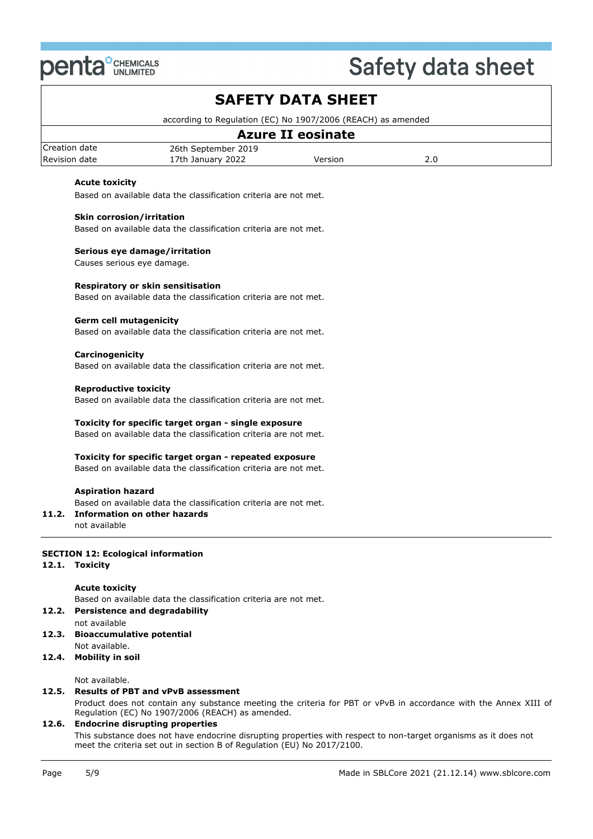

# **SAFETY DATA SHEET**

according to Regulation (EC) No 1907/2006 (REACH) as amended

### Creation date 26th September 2019 Revision date **17th January 2022** Version 2.0 **Azure II eosinate**

### **Acute toxicity**

Based on available data the classification criteria are not met.

#### **Skin corrosion/irritation**

Based on available data the classification criteria are not met.

#### **Serious eye damage/irritation**

Causes serious eye damage.

#### **Respiratory or skin sensitisation**

Based on available data the classification criteria are not met.

#### **Germ cell mutagenicity**

Based on available data the classification criteria are not met.

#### **Carcinogenicity**

Based on available data the classification criteria are not met.

#### **Reproductive toxicity**

Based on available data the classification criteria are not met.

#### **Toxicity for specific target organ - single exposure**

Based on available data the classification criteria are not met.

#### **Toxicity for specific target organ - repeated exposure**

Based on available data the classification criteria are not met.

#### **Aspiration hazard**

Based on available data the classification criteria are not met.

#### **11.2. Information on other hazards**

not available

#### **SECTION 12: Ecological information**

**12.1. Toxicity**

#### **Acute toxicity**

Based on available data the classification criteria are not met.

#### **12.2. Persistence and degradability**

- not available **12.3. Bioaccumulative potential**
- Not available.

#### **12.4. Mobility in soil**

Not available.

### **12.5. Results of PBT and vPvB assessment**

Product does not contain any substance meeting the criteria for PBT or vPvB in accordance with the Annex XIII of Regulation (EC) No 1907/2006 (REACH) as amended.

#### **12.6. Endocrine disrupting properties**

This substance does not have endocrine disrupting properties with respect to non-target organisms as it does not meet the criteria set out in section B of Regulation (EU) No 2017/2100.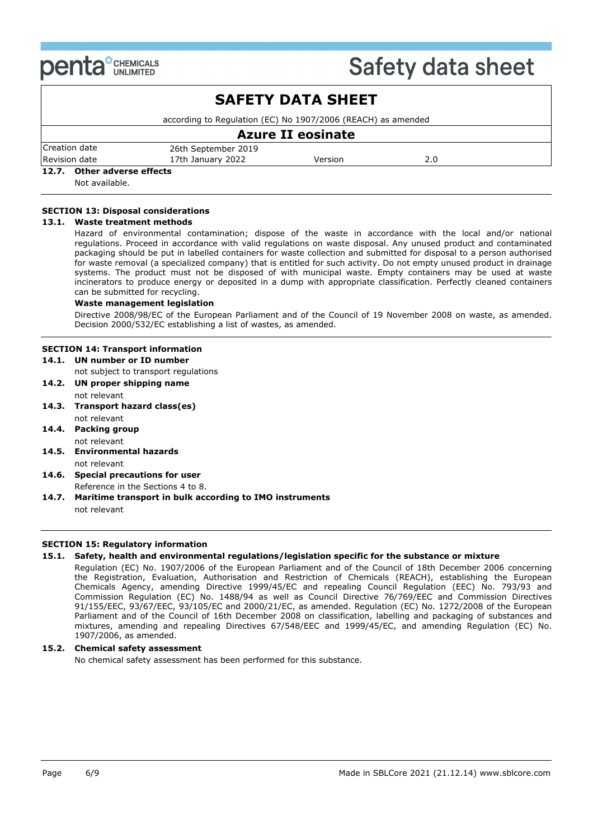

| <b>SAFETY DATA SHEET</b>       |                                                              |         |     |  |  |  |  |
|--------------------------------|--------------------------------------------------------------|---------|-----|--|--|--|--|
|                                | according to Regulation (EC) No 1907/2006 (REACH) as amended |         |     |  |  |  |  |
| <b>Azure II eosinate</b>       |                                                              |         |     |  |  |  |  |
| Creation date                  | 26th September 2019                                          |         |     |  |  |  |  |
| Revision date                  | 17th January 2022                                            | Version | 2.0 |  |  |  |  |
| Other adverse effects<br>12.7. |                                                              |         |     |  |  |  |  |
| Not available.                 |                                                              |         |     |  |  |  |  |

#### **SECTION 13: Disposal considerations**

#### **13.1. Waste treatment methods**

Hazard of environmental contamination; dispose of the waste in accordance with the local and/or national regulations. Proceed in accordance with valid regulations on waste disposal. Any unused product and contaminated packaging should be put in labelled containers for waste collection and submitted for disposal to a person authorised for waste removal (a specialized company) that is entitled for such activity. Do not empty unused product in drainage systems. The product must not be disposed of with municipal waste. Empty containers may be used at waste incinerators to produce energy or deposited in a dump with appropriate classification. Perfectly cleaned containers can be submitted for recycling.

#### **Waste management legislation**

Directive 2008/98/EC of the European Parliament and of the Council of 19 November 2008 on waste, as amended. Decision 2000/532/EC establishing a list of wastes, as amended.

#### **SECTION 14: Transport information**

#### **14.1. UN number or ID number**

not subject to transport regulations

- **14.2. UN proper shipping name** not relevant
- **14.3. Transport hazard class(es)**
- not relevant **14.4. Packing group** not relevant
- **14.5. Environmental hazards**
- not relevant
- **14.6. Special precautions for user** Reference in the Sections 4 to 8.
- **14.7. Maritime transport in bulk according to IMO instruments** not relevant

#### **SECTION 15: Regulatory information**

#### **15.1. Safety, health and environmental regulations/legislation specific for the substance or mixture**

Regulation (EC) No. 1907/2006 of the European Parliament and of the Council of 18th December 2006 concerning the Registration, Evaluation, Authorisation and Restriction of Chemicals (REACH), establishing the European Chemicals Agency, amending Directive 1999/45/EC and repealing Council Regulation (EEC) No. 793/93 and Commission Regulation (EC) No. 1488/94 as well as Council Directive 76/769/EEC and Commission Directives 91/155/EEC, 93/67/EEC, 93/105/EC and 2000/21/EC, as amended. Regulation (EC) No. 1272/2008 of the European Parliament and of the Council of 16th December 2008 on classification, labelling and packaging of substances and mixtures, amending and repealing Directives 67/548/EEC and 1999/45/EC, and amending Regulation (EC) No. 1907/2006, as amended.

#### **15.2. Chemical safety assessment**

No chemical safety assessment has been performed for this substance.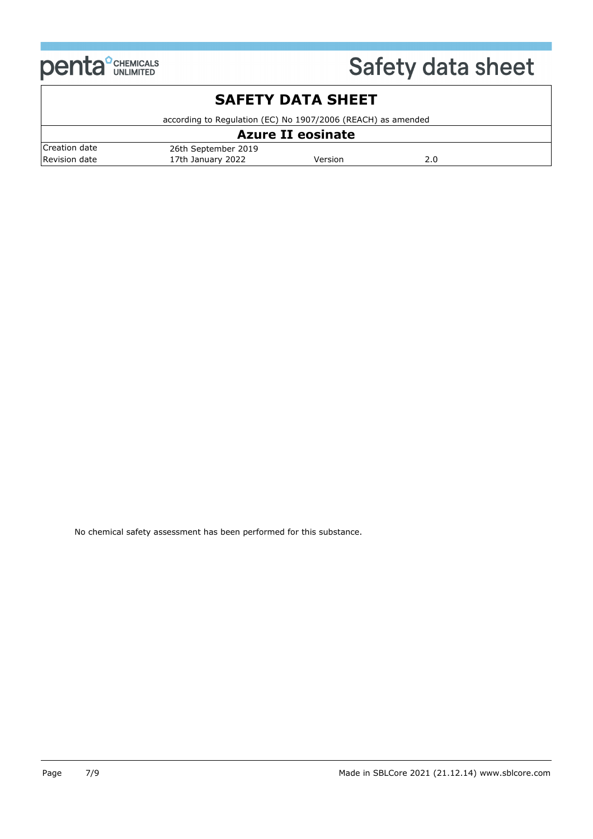

## Creation date 26th September 2019 Revision date **17th January 2022** Version 2.0 **SAFETY DATA SHEET** according to Regulation (EC) No 1907/2006 (REACH) as amended **Azure II eosinate**

No chemical safety assessment has been performed for this substance.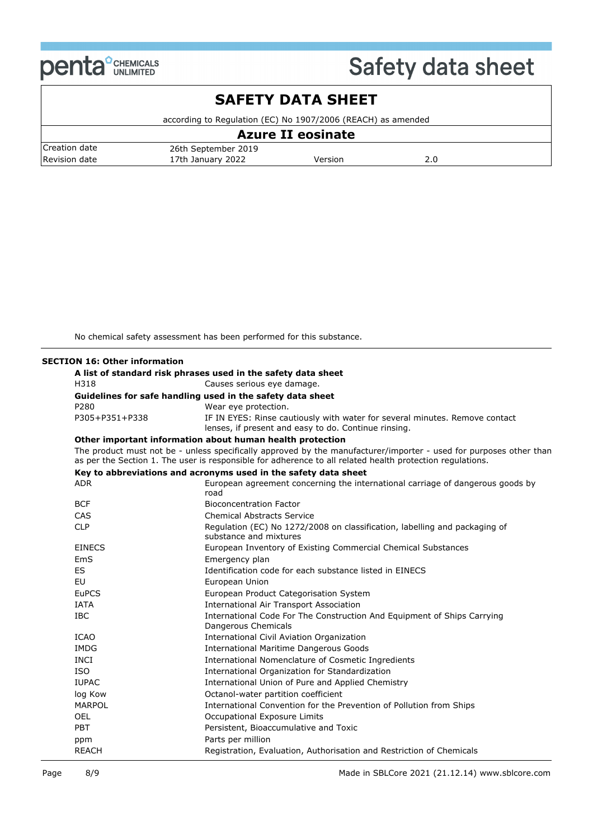

## **SAFETY DATA SHEET**

according to Regulation (EC) No 1907/2006 (REACH) as amended

|               |                     | <b>Azure II eosinate</b> |     |  |
|---------------|---------------------|--------------------------|-----|--|
| Creation date | 26th September 2019 |                          |     |  |
| Revision date | 17th January 2022   | Version                  | 2.0 |  |

No chemical safety assessment has been performed for this substance.

#### **SECTION 16: Other information**

|                | A list of standard risk phrases used in the safety data sheet                                                                                                                                                                   |
|----------------|---------------------------------------------------------------------------------------------------------------------------------------------------------------------------------------------------------------------------------|
| H318           | Causes serious eye damage.                                                                                                                                                                                                      |
|                | Guidelines for safe handling used in the safety data sheet                                                                                                                                                                      |
| P280           | Wear eye protection.                                                                                                                                                                                                            |
| P305+P351+P338 | IF IN EYES: Rinse cautiously with water for several minutes. Remove contact<br>lenses, if present and easy to do. Continue rinsing.                                                                                             |
|                | Other important information about human health protection                                                                                                                                                                       |
|                | The product must not be - unless specifically approved by the manufacturer/importer - used for purposes other than<br>as per the Section 1. The user is responsible for adherence to all related health protection regulations. |
|                | Key to abbreviations and acronyms used in the safety data sheet                                                                                                                                                                 |
| <b>ADR</b>     | European agreement concerning the international carriage of dangerous goods by<br>road                                                                                                                                          |
| <b>BCF</b>     | <b>Bioconcentration Factor</b>                                                                                                                                                                                                  |
| CAS            | <b>Chemical Abstracts Service</b>                                                                                                                                                                                               |
| <b>CLP</b>     | Regulation (EC) No 1272/2008 on classification, labelling and packaging of<br>substance and mixtures                                                                                                                            |
| <b>EINECS</b>  | European Inventory of Existing Commercial Chemical Substances                                                                                                                                                                   |
| EmS            | Emergency plan                                                                                                                                                                                                                  |
| <b>ES</b>      | Identification code for each substance listed in EINECS                                                                                                                                                                         |
| <b>EU</b>      | European Union                                                                                                                                                                                                                  |
| <b>EuPCS</b>   | European Product Categorisation System                                                                                                                                                                                          |
| <b>IATA</b>    | <b>International Air Transport Association</b>                                                                                                                                                                                  |
| <b>IBC</b>     | International Code For The Construction And Equipment of Ships Carrying<br>Dangerous Chemicals                                                                                                                                  |
| <b>ICAO</b>    | International Civil Aviation Organization                                                                                                                                                                                       |
| <b>IMDG</b>    | <b>International Maritime Dangerous Goods</b>                                                                                                                                                                                   |
| <b>INCI</b>    | International Nomenclature of Cosmetic Ingredients                                                                                                                                                                              |
| <b>ISO</b>     | International Organization for Standardization                                                                                                                                                                                  |
| <b>IUPAC</b>   | International Union of Pure and Applied Chemistry                                                                                                                                                                               |
| log Kow        | Octanol-water partition coefficient                                                                                                                                                                                             |
| <b>MARPOL</b>  | International Convention for the Prevention of Pollution from Ships                                                                                                                                                             |
| <b>OEL</b>     | Occupational Exposure Limits                                                                                                                                                                                                    |
| <b>PBT</b>     | Persistent, Bioaccumulative and Toxic                                                                                                                                                                                           |
| ppm            | Parts per million                                                                                                                                                                                                               |
| <b>REACH</b>   | Registration, Evaluation, Authorisation and Restriction of Chemicals                                                                                                                                                            |